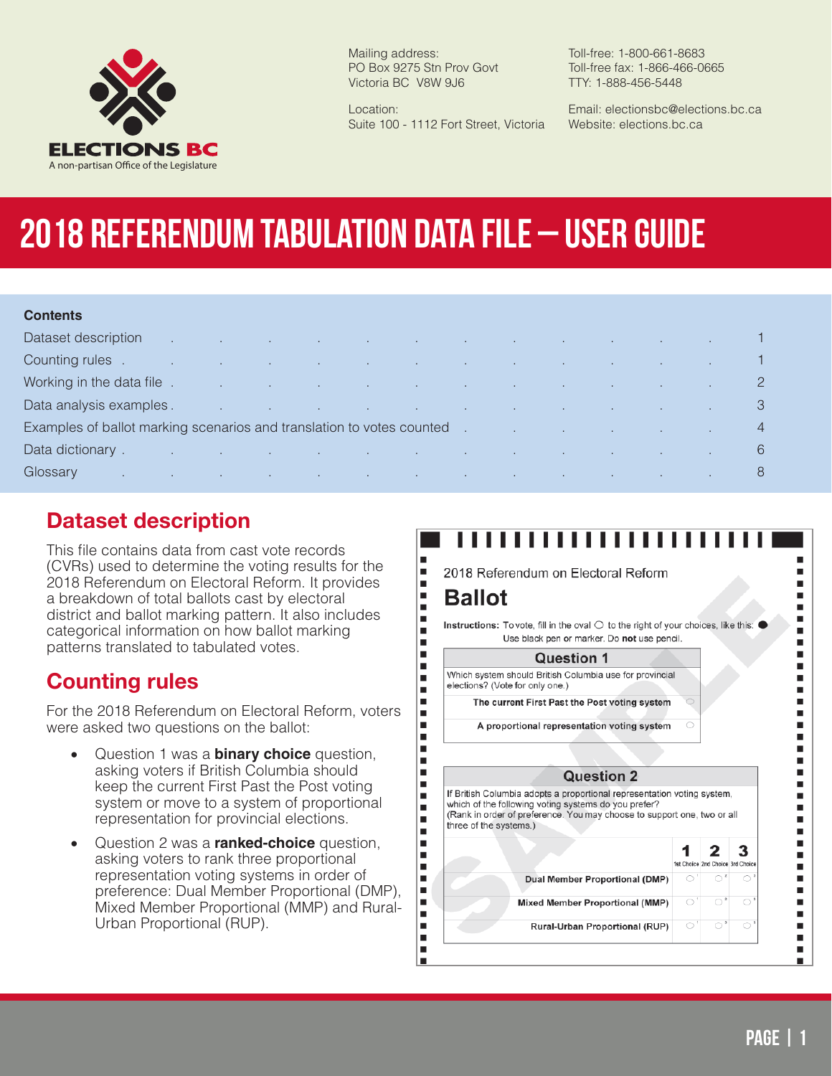

Mailing address: PO Box 9275 Stn Prov Govt Victoria BC V8W 9J6

Location: Suite 100 - 1112 Fort Street, Victoria Toll-free: 1-800-661-8683 Toll-free fax: 1-866-466-0665 TTY: 1-888-456-5448

Email: electionsbc@elections.bc.ca Website: elections.bc.ca

# **2018 Referendum Tabulation Data File – User Guide**

#### **Contents**

| Dataset description                                                                                                                         |  | , which is a set of the set of the set of the set of the set of the set of the set of the set of $\mathbf 1$     |  |  |  |  |  |
|---------------------------------------------------------------------------------------------------------------------------------------------|--|------------------------------------------------------------------------------------------------------------------|--|--|--|--|--|
| Counting rules.                                                                                                                             |  | the contract of the contract of the contract of the contract of the contract of the contract of the contract of  |  |  |  |  |  |
| Working in the data file .                                                                                                                  |  | and the control of the control of the control of the control of the control of the control of the control of the |  |  |  |  |  |
| Data analysis examples.                                                                                                                     |  | in the control of the control of the control of the control of the control of the control of the control of the  |  |  |  |  |  |
| Examples of ballot marking scenarios and translation to votes counted examples of ballot marking scenarios and translation to votes counted |  |                                                                                                                  |  |  |  |  |  |
| Data dictionary.                                                                                                                            |  | n de la constitución de la constitución de la constitución de la constitución de la constitución de la constituc |  |  |  |  |  |
| Glossary                                                                                                                                    |  | and the control of the control of the control of the control of the                                              |  |  |  |  |  |

### **Dataset description**

This file contains data from cast vote records (CVRs) used to determine the voting results for the 2018 Referendum on Electoral Reform. It provides a breakdown of total ballots cast by electoral district and ballot marking pattern. It also includes categorical information on how ballot marking patterns translated to tabulated votes.

#### **Counting rules**

For the 2018 Referendum on Electoral Reform, voters were asked two questions on the ballot:

- • Question 1 was a **binary choice** question, asking voters if British Columbia should keep the current First Past the Post voting system or move to a system of proportional representation for provincial elections.
- Question 2 was a **ranked-choice** question, asking voters to rank three proportional representation voting systems in order of preference: Dual Member Proportional (DMP), Mixed Member Proportional (MMP) and Rural-Urban Proportional (RUP).

## ,,,,,,,,,,,,,

2018 Referendum on Electoral Reform

#### **Ballot**

П

 $\blacksquare$ 

 $\blacksquare$ 

×

 $\blacksquare$ 

 $\blacksquare$ 

 $\blacksquare$ 

 $\blacksquare$ 

п

 $\blacksquare$ 

 $\blacksquare$ 

 $\blacksquare$ 

 $\blacksquare$  $\blacksquare$ 

 $\blacksquare$ 

Ū,  $\blacksquare$ 

 $\blacksquare$ 

 $\blacksquare$ 

п

 $\blacksquare$ 

 $\blacksquare$ 

 $\blacksquare$ 

 $\blacksquare$ 

 $\blacksquare$ 

п

П

 $\blacksquare$ 

İ

 $\blacksquare$ 

I.

 $\blacksquare$ 

 $\blacksquare$ 

Instructions: To vote, fill in the oval  $\bigcirc$  to the right of your choices, like this:  $\bullet$ Use black pen or marker. Do not use pencil.

#### **Question 1**

Which system should British Columbia use for provincial elections? (Vote for only one.)

The current First Past the Post voting system

A proportional representation voting system

#### **Question 2**

If British Columbia adopts a proportional representation voting system, which of the following voting systems do you prefer? (Rank in order of preference. You may choose to support one, two or all three of the systems.)

|                                        |                    | - |
|----------------------------------------|--------------------|---|
|                                        | 1st Choice 2nd Cho |   |
| Dual Member Proportional (DMP)         |                    |   |
| <b>Mixed Member Proportional (MMP)</b> |                    |   |

Rural-Urban Proportional (RUP)

п

٠

 $\blacksquare$ 

×

 $\blacksquare$ 

 $\blacksquare$ 

I.

 $\blacksquare$ 

П

I.

 $\blacksquare$ 

 $\blacksquare$ 

×

 $\blacksquare$ 

 $\blacksquare$  $\blacksquare$ 

 $\blacksquare$ 

 $\blacksquare$ 

 $\blacksquare$ 

п

 $\blacksquare$ 

 $\blacksquare$ 

Е

 $\blacksquare$ 

 $\blacksquare$ 

П

п

 $\blacksquare$ 

Ξ

٠

 $\blacksquare$ 

I.

٠

٠

3

 $\circ$ 

ice 3rd Choice

 $\circ$ <sup>1</sup>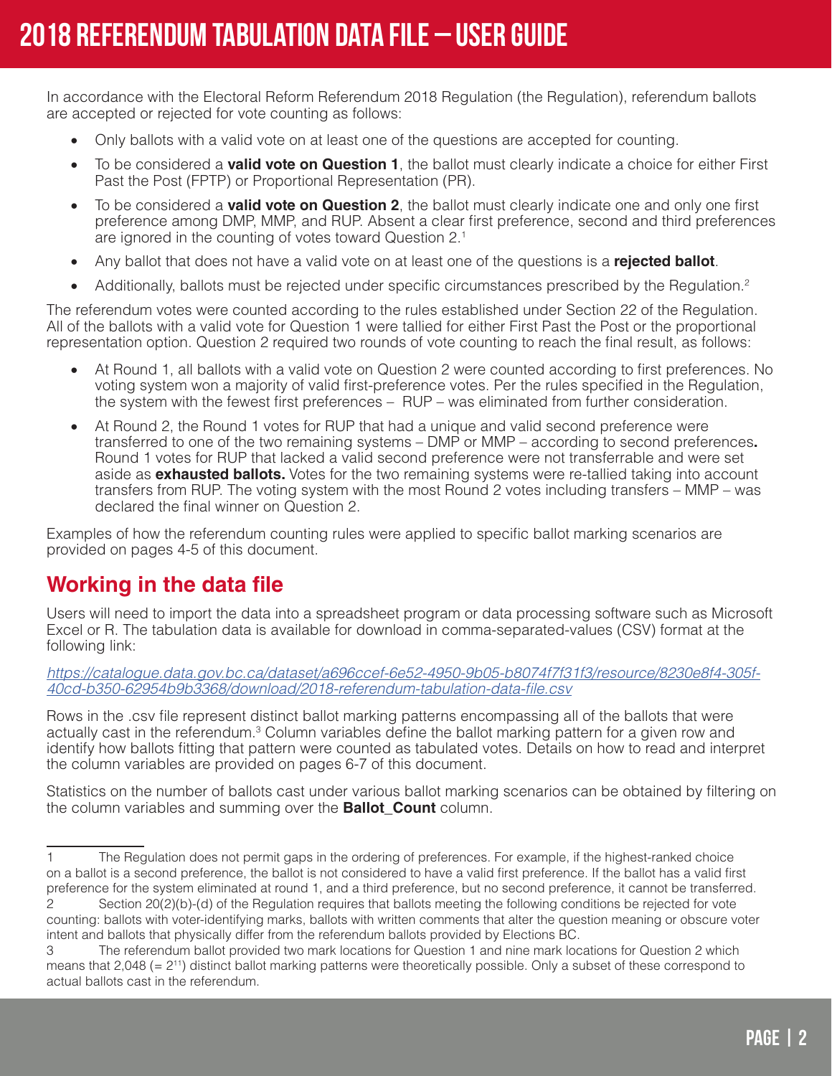In accordance with the Electoral Reform Referendum 2018 Regulation (the Regulation), referendum ballots are accepted or rejected for vote counting as follows:

- Only ballots with a valid vote on at least one of the questions are accepted for counting.
- To be considered a **valid vote on Question 1**, the ballot must clearly indicate a choice for either First Past the Post (FPTP) or Proportional Representation (PR).
- To be considered a **valid vote on Question 2**, the ballot must clearly indicate one and only one first preference among DMP, MMP, and RUP. Absent a clear first preference, second and third preferences are ignored in the counting of votes toward Question 2.1
- Any ballot that does not have a valid vote on at least one of the questions is a **rejected ballot**.
- Additionally, ballots must be rejected under specific circumstances prescribed by the Regulation.<sup>2</sup>

The referendum votes were counted according to the rules established under Section 22 of the Regulation. All of the ballots with a valid vote for Question 1 were tallied for either First Past the Post or the proportional representation option. Question 2 required two rounds of vote counting to reach the final result, as follows:

- At Round 1, all ballots with a valid vote on Question 2 were counted according to first preferences. No voting system won a majority of valid first-preference votes. Per the rules specified in the Regulation, the system with the fewest first preferences – RUP – was eliminated from further consideration.
- At Round 2, the Round 1 votes for RUP that had a unique and valid second preference were transferred to one of the two remaining systems – DMP or MMP – according to second preferences**.**  Round 1 votes for RUP that lacked a valid second preference were not transferrable and were set aside as **exhausted ballots.** Votes for the two remaining systems were re-tallied taking into account transfers from RUP. The voting system with the most Round 2 votes including transfers – MMP – was declared the final winner on Question 2.

Examples of how the referendum counting rules were applied to specific ballot marking scenarios are provided on pages 4-5 of this document.

### **Working in the data file**

Users will need to import the data into a spreadsheet program or data processing software such as Microsoft Excel or R. The tabulation data is available for download in comma-separated-values (CSV) format at the following link:

*[https://catalogue.data.gov.bc.ca/dataset/a696ccef-6e52-4950-9b05-b8074f7f31f3/resource/8230e8f4-305f-](https://catalogue.data.gov.bc.ca/dataset/a696ccef-6e52-4950-9b05-b8074f7f31f3/resource/8230e8f4-305f-40cd-b350-62954b9b3368/download/2018-referendum-tabulation-data-file.csv)[40cd-b350-62954b9b3368/download/2018-referendum-tabulation-data-file.csv](https://catalogue.data.gov.bc.ca/dataset/a696ccef-6e52-4950-9b05-b8074f7f31f3/resource/8230e8f4-305f-40cd-b350-62954b9b3368/download/2018-referendum-tabulation-data-file.csv)*

Rows in the .csv file represent distinct ballot marking patterns encompassing all of the ballots that were actually cast in the referendum.<sup>3</sup> Column variables define the ballot marking pattern for a given row and identify how ballots fitting that pattern were counted as tabulated votes. Details on how to read and interpret the column variables are provided on pages 6-7 of this document.

Statistics on the number of ballots cast under various ballot marking scenarios can be obtained by filtering on the column variables and summing over the **Ballot\_Count** column.

<sup>1</sup> The Regulation does not permit gaps in the ordering of preferences. For example, if the highest-ranked choice on a ballot is a second preference, the ballot is not considered to have a valid first preference. If the ballot has a valid first preference for the system eliminated at round 1, and a third preference, but no second preference, it cannot be transferred.

<sup>2</sup> Section 20(2)(b)-(d) of the Regulation requires that ballots meeting the following conditions be rejected for vote counting: ballots with voter-identifying marks, ballots with written comments that alter the question meaning or obscure voter intent and ballots that physically differ from the referendum ballots provided by Elections BC.

<sup>3</sup> The referendum ballot provided two mark locations for Question 1 and nine mark locations for Question 2 which means that  $2,048$  (=  $2^{11}$ ) distinct ballot marking patterns were theoretically possible. Only a subset of these correspond to actual ballots cast in the referendum.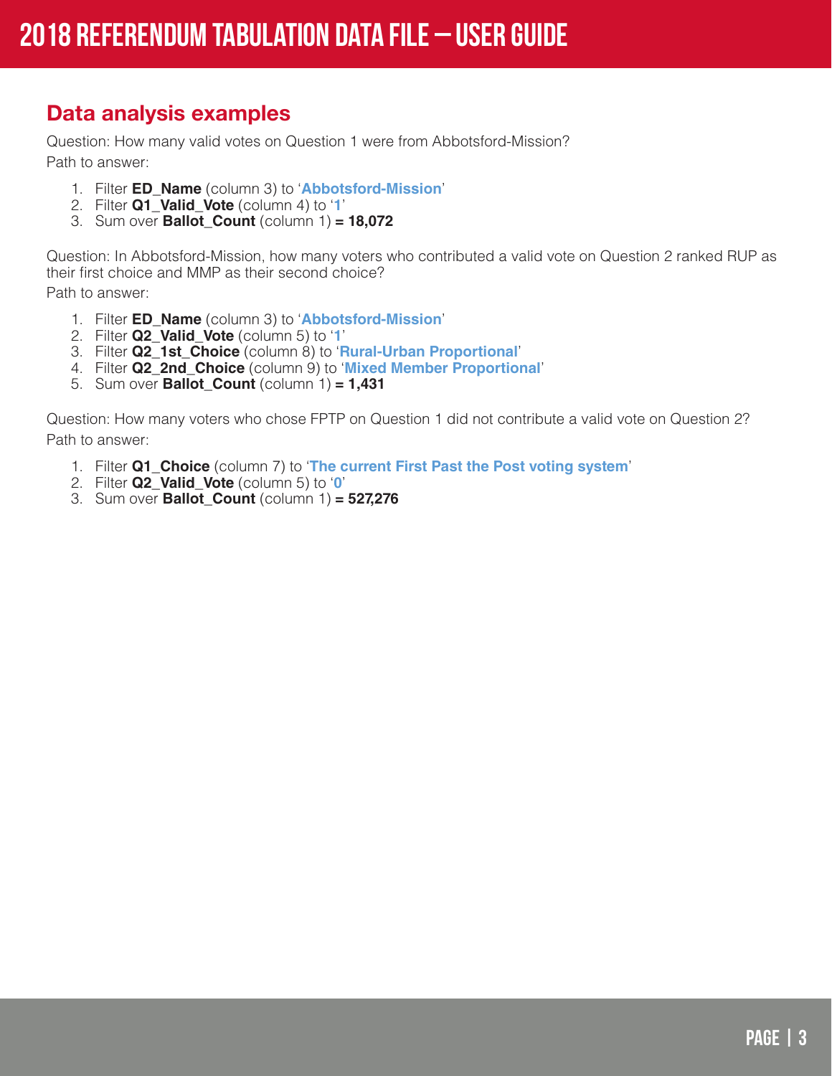## **Data analysis examples**

Question: How many valid votes on Question 1 were from Abbotsford-Mission? Path to answer:

- 1. Filter **ED\_Name** (column 3) to '**Abbotsford-Mission**'
- 2. Filter **Q1\_Valid\_Vote** (column 4) to '**1**'
- 3. Sum over **Ballot\_Count** (column 1) **= 18,072**

Question: In Abbotsford-Mission, how many voters who contributed a valid vote on Question 2 ranked RUP as their first choice and MMP as their second choice? Path to answer:

- 1. Filter **ED\_Name** (column 3) to '**Abbotsford-Mission**'
- 2. Filter **Q2\_Valid\_Vote** (column 5) to '**1**'
- 3. Filter **Q2\_1st\_Choice** (column 8) to '**Rural-Urban Proportional**'
- 4. Filter **Q2\_2nd\_Choice** (column 9) to '**Mixed Member Proportional**'
- 5. Sum over **Ballot\_Count** (column 1) **= 1,431**

Question: How many voters who chose FPTP on Question 1 did not contribute a valid vote on Question 2? Path to answer:

- 1. Filter **Q1\_Choice** (column 7) to '**The current First Past the Post voting system**'
- 2. Filter **Q2\_Valid\_Vote** (column 5) to '**0**'
- 3. Sum over **Ballot\_Count** (column 1) **= 527,276**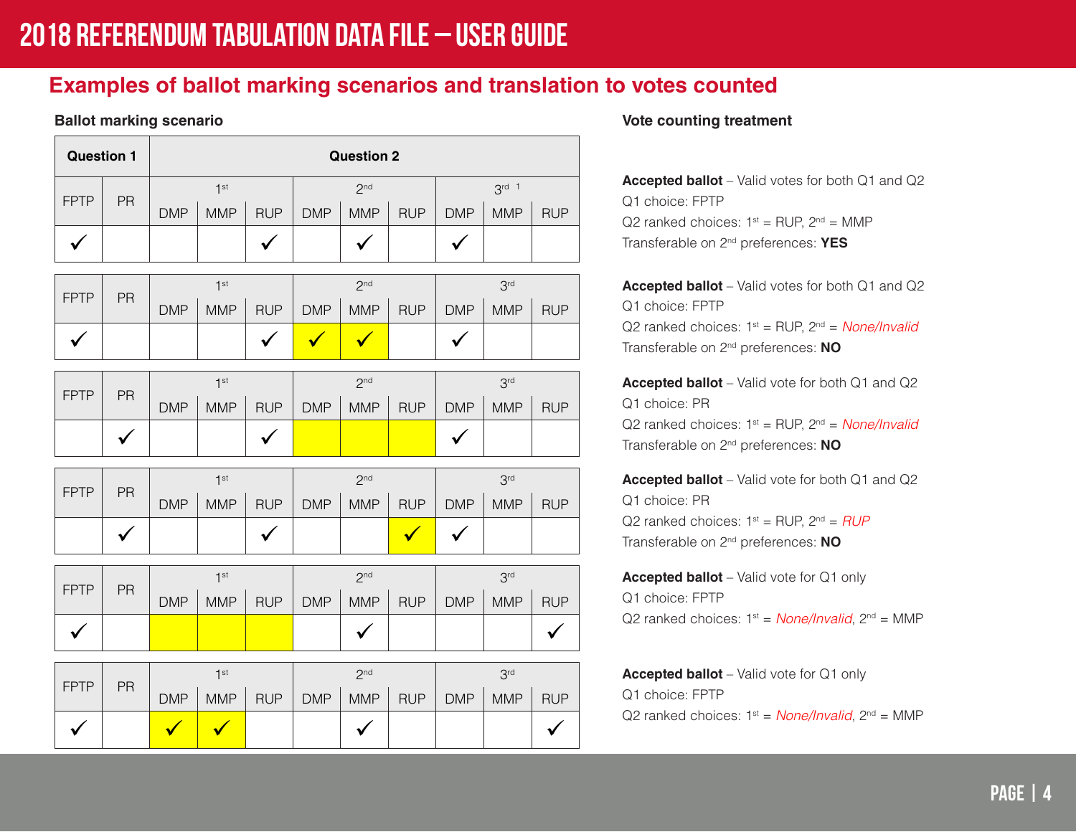## **Examples of ballot marking scenarios and translation to votes counted**

|              | <b>Question 2</b><br><b>Question 1</b> |                 |                 |              |                 |                      |                      |                 |                 |              |
|--------------|----------------------------------------|-----------------|-----------------|--------------|-----------------|----------------------|----------------------|-----------------|-----------------|--------------|
|              |                                        |                 | 1 <sup>st</sup> |              | 2 <sup>nd</sup> |                      |                      | $3rd$ 1         |                 |              |
| <b>FPTP</b>  | PR                                     | <b>DMP</b>      | <b>MMP</b>      | <b>RUP</b>   | <b>DMP</b>      | <b>MMP</b>           | <b>RUP</b>           | <b>DMP</b>      | <b>MMP</b>      | <b>RUP</b>   |
| $\checkmark$ |                                        |                 |                 | $\checkmark$ |                 | $\checkmark$         |                      | $\checkmark$    |                 |              |
|              |                                        | 1 <sup>st</sup> |                 |              |                 | 2 <sub>nd</sub>      |                      | 3 <sup>rd</sup> |                 |              |
| <b>FPTP</b>  | PR                                     | <b>DMP</b>      | <b>MMP</b>      | <b>RUP</b>   | <b>DMP</b>      | <b>MMP</b>           | <b>RUP</b>           | <b>DMP</b>      | <b>MMP</b>      | <b>RUP</b>   |
| $\checkmark$ |                                        |                 |                 | ✓            |                 | $\blacktriangledown$ |                      | $\checkmark$    |                 |              |
|              |                                        |                 | 1 <sup>st</sup> |              |                 | 2 <sup>nd</sup>      |                      |                 | 3 <sup>rd</sup> |              |
| <b>FPTP</b>  | PR                                     | <b>DMP</b>      | <b>MMP</b>      | <b>RUP</b>   | <b>DMP</b>      | <b>MMP</b>           | <b>RUP</b>           | <b>DMP</b>      | <b>MMP</b>      | <b>RUP</b>   |
|              | $\checkmark$                           |                 |                 | $\checkmark$ |                 |                      |                      | $\checkmark$    |                 |              |
|              |                                        |                 | 1 <sup>st</sup> |              |                 | 2 <sup>nd</sup>      |                      |                 | 3 <sup>rd</sup> |              |
| <b>FPTP</b>  | PR                                     | <b>DMP</b>      | <b>MMP</b>      | <b>RUP</b>   | <b>DMP</b>      | <b>MMP</b>           | <b>RUP</b>           | <b>DMP</b>      | <b>MMP</b>      | <b>RUP</b>   |
|              | $\checkmark$                           |                 |                 |              |                 |                      | $\blacktriangledown$ | $\checkmark$    |                 |              |
|              |                                        |                 | 1 <sup>st</sup> |              |                 | 2 <sub>nd</sub>      |                      |                 | 3 <sup>rd</sup> |              |
| <b>FPTP</b>  | PR                                     | <b>DMP</b>      | <b>MMP</b>      | <b>RUP</b>   | <b>DMP</b>      | <b>MMP</b>           | <b>RUP</b>           | <b>DMP</b>      | <b>MMP</b>      | <b>RUP</b>   |
| $\checkmark$ |                                        |                 |                 |              |                 | $\checkmark$         |                      |                 |                 | $\checkmark$ |
|              |                                        |                 | 1 <sup>st</sup> |              | 2 <sup>nd</sup> |                      |                      | 3 <sup>rd</sup> |                 |              |
| <b>FPTP</b>  | PR                                     | <b>DMP</b>      | <b>MMP</b>      | <b>RUP</b>   | <b>DMP</b>      | <b>MMP</b>           | <b>RUP</b>           | <b>DMP</b>      | <b>MMP</b>      | <b>RUP</b>   |
| $\checkmark$ |                                        |                 | $\checkmark$    |              |                 | $\checkmark$         |                      |                 |                 | ✓            |

#### **Ballot marking scenario Ballot marking scenario Vote counting treatment**

**Accepted ballot** – Valid votes for both Q1 and Q2 Q1 choice: FPTP Q2 ranked choices:  $1^{st}$  = RUP,  $2^{nd}$  = MMP Transferable on 2nd preferences: **YES**

**Accepted ballot** – Valid votes for both Q1 and Q2 Q1 choice: FPTP Q2 ranked choices: 1st = RUP, 2nd = *None/Invalid* Transferable on 2nd preferences: **NO**

**Accepted ballot** – Valid vote for both Q1 and Q2 Q1 choice: PR Q2 ranked choices: 1st = RUP, 2nd = *None/Invalid* Transferable on 2nd preferences: **NO**

**Accepted ballot** – Valid vote for both Q1 and Q2 Q1 choice: PR Q2 ranked choices:  $1^{st}$  = RUP,  $2^{nd}$  = *RUP* Transferable on 2nd preferences: **NO**

**Accepted ballot** – Valid vote for Q1 only Q1 choice: FPTP Q2 ranked choices:  $1^{st}$  = *None/Invalid*,  $2^{nd}$  = MMP

**Accepted ballot** – Valid vote for Q1 only Q1 choice: FPTP Q2 ranked choices:  $1^{st}$  = *None/Invalid*,  $2^{nd}$  = MMP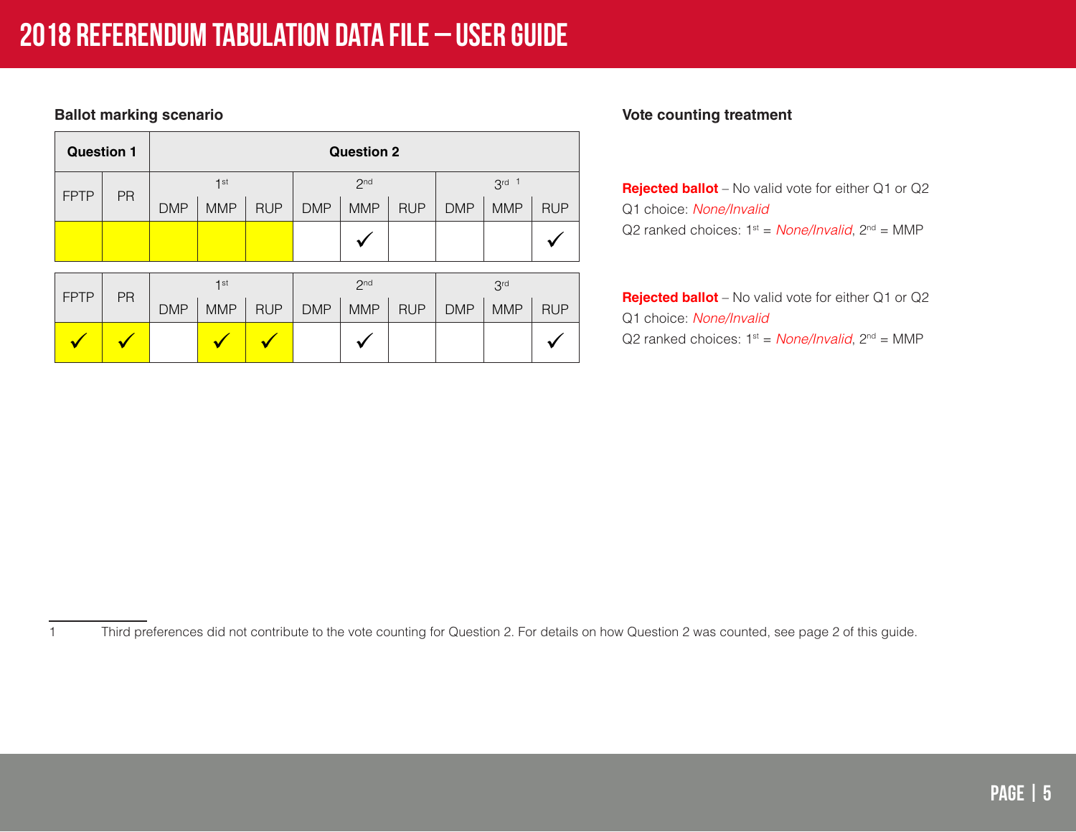| <b>Question 1</b> |    | <b>Question 2</b> |                 |            |                 |                 |            |            |                 |            |
|-------------------|----|-------------------|-----------------|------------|-----------------|-----------------|------------|------------|-----------------|------------|
|                   |    | 1 <sup>st</sup>   |                 |            | 2 <sub>nd</sub> |                 |            | $3rd$ 1    |                 |            |
| <b>FPTP</b>       | PR | <b>DMP</b>        | <b>MMP</b>      | <b>RUP</b> | <b>DMP</b>      | <b>MMP</b>      | <b>RUP</b> | <b>DMP</b> | <b>MMP</b>      | <b>RUP</b> |
|                   |    |                   |                 |            |                 |                 |            |            |                 |            |
|                   |    |                   |                 |            |                 |                 |            |            |                 |            |
|                   |    |                   | 1 <sup>st</sup> |            |                 | 2 <sub>nd</sub> |            |            | 3 <sup>rd</sup> |            |
| <b>FPTP</b>       | PR | <b>DMP</b>        | <b>MMP</b>      | <b>RUP</b> | <b>DMP</b>      | <b>MMP</b>      | <b>RUP</b> | <b>DMP</b> | <b>MMP</b>      | <b>RUP</b> |
|                   |    |                   |                 |            |                 |                 |            |            |                 |            |

#### **Ballot marking scenario Ballot marking scenario Vote counting treatment**

**Rejected ballot** – No valid vote for either Q1 or Q2 Q1 choice: *None/Invalid* Q2 ranked choices:  $1^{st}$  = *None/Invalid*,  $2^{nd}$  = MMP

**Rejected ballot** – No valid vote for either Q1 or Q2 Q1 choice: *None/Invalid* Q2 ranked choices:  $1^{st}$  = *None/Invalid*,  $2^{nd}$  = MMP

1 Third preferences did not contribute to the vote counting for Question 2. For details on how Question 2 was counted, see page 2 of this guide.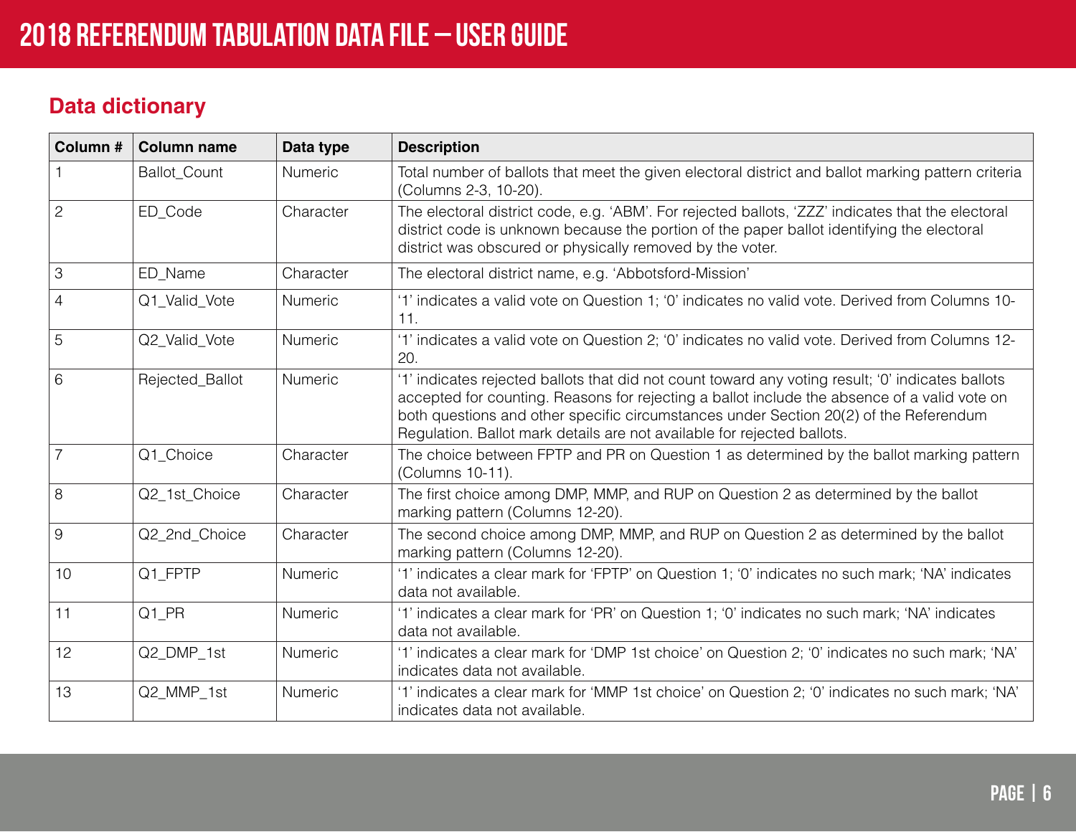## **Data dictionary**

| Column #       | <b>Column name</b> | Data type | <b>Description</b>                                                                                                                                                                                                                                                                                                                                                    |
|----------------|--------------------|-----------|-----------------------------------------------------------------------------------------------------------------------------------------------------------------------------------------------------------------------------------------------------------------------------------------------------------------------------------------------------------------------|
|                | Ballot_Count       | Numeric   | Total number of ballots that meet the given electoral district and ballot marking pattern criteria<br>(Columns 2-3, 10-20).                                                                                                                                                                                                                                           |
| $\overline{2}$ | ED Code            | Character | The electoral district code, e.g. 'ABM'. For rejected ballots, 'ZZZ' indicates that the electoral<br>district code is unknown because the portion of the paper ballot identifying the electoral<br>district was obscured or physically removed by the voter.                                                                                                          |
| $\mathcal{S}$  | ED_Name            | Character | The electoral district name, e.g. 'Abbotsford-Mission'                                                                                                                                                                                                                                                                                                                |
| $\overline{4}$ | Q1 Valid Vote      | Numeric   | '1' indicates a valid vote on Question 1; '0' indicates no valid vote. Derived from Columns 10-<br>11.                                                                                                                                                                                                                                                                |
| 5              | Q2 Valid Vote      | Numeric   | '1' indicates a valid vote on Question 2; '0' indicates no valid vote. Derived from Columns 12-<br>20.                                                                                                                                                                                                                                                                |
| 6              | Rejected Ballot    | Numeric   | '1' indicates rejected ballots that did not count toward any voting result; '0' indicates ballots<br>accepted for counting. Reasons for rejecting a ballot include the absence of a valid vote on<br>both questions and other specific circumstances under Section 20(2) of the Referendum<br>Regulation. Ballot mark details are not available for rejected ballots. |
| $\overline{7}$ | Q1 Choice          | Character | The choice between FPTP and PR on Question 1 as determined by the ballot marking pattern<br>(Columns 10-11).                                                                                                                                                                                                                                                          |
| 8              | Q2_1st_Choice      | Character | The first choice among DMP, MMP, and RUP on Question 2 as determined by the ballot<br>marking pattern (Columns 12-20).                                                                                                                                                                                                                                                |
| $\overline{9}$ | Q2_2nd_Choice      | Character | The second choice among DMP, MMP, and RUP on Question 2 as determined by the ballot<br>marking pattern (Columns 12-20).                                                                                                                                                                                                                                               |
| 10             | Q1_FPTP            | Numeric   | '1' indicates a clear mark for 'FPTP' on Question 1; '0' indicates no such mark; 'NA' indicates<br>data not available.                                                                                                                                                                                                                                                |
| 11             | Q1_PR              | Numeric   | '1' indicates a clear mark for 'PR' on Question 1; '0' indicates no such mark; 'NA' indicates<br>data not available.                                                                                                                                                                                                                                                  |
| 12             | Q2 DMP 1st         | Numeric   | '1' indicates a clear mark for 'DMP 1st choice' on Question 2; '0' indicates no such mark; 'NA'<br>indicates data not available.                                                                                                                                                                                                                                      |
| 13             | Q2 MMP 1st         | Numeric   | '1' indicates a clear mark for 'MMP 1st choice' on Question 2; '0' indicates no such mark; 'NA'<br>indicates data not available.                                                                                                                                                                                                                                      |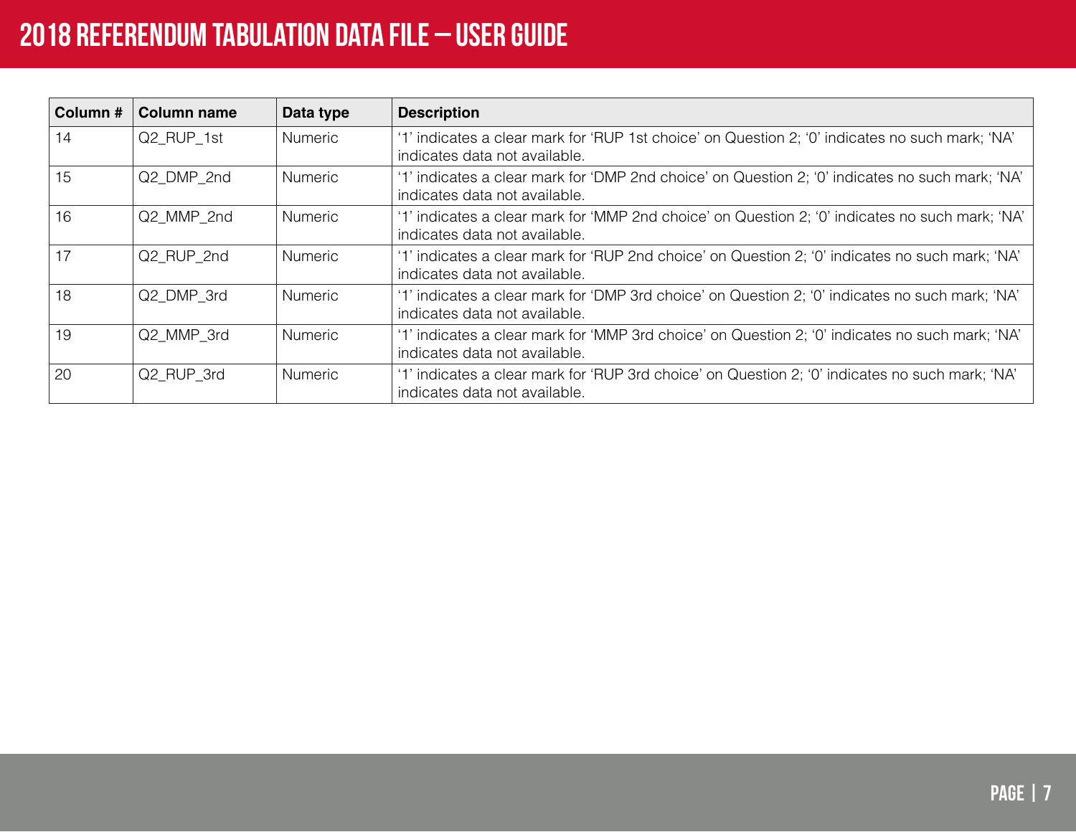| Column # | <b>Column name</b> | Data type      | <b>Description</b>                                                                                                               |
|----------|--------------------|----------------|----------------------------------------------------------------------------------------------------------------------------------|
| 14       | Q2 RUP 1st         | <b>Numeric</b> | '1' indicates a clear mark for 'RUP 1st choice' on Question 2; '0' indicates no such mark; 'NA'<br>indicates data not available. |
| 15       | Q2 DMP 2nd         | <b>Numeric</b> | '1' indicates a clear mark for 'DMP 2nd choice' on Question 2; '0' indicates no such mark; 'NA'<br>indicates data not available. |
| 16       | Q2 MMP 2nd         | <b>Numeric</b> | '1' indicates a clear mark for 'MMP 2nd choice' on Question 2; '0' indicates no such mark; 'NA'<br>indicates data not available. |
| 17       | Q2 RUP 2nd         | <b>Numeric</b> | '1' indicates a clear mark for 'RUP 2nd choice' on Question 2; '0' indicates no such mark; 'NA'<br>indicates data not available. |
| 18       | Q2_DMP_3rd         | <b>Numeric</b> | '1' indicates a clear mark for 'DMP 3rd choice' on Question 2; '0' indicates no such mark; 'NA'<br>indicates data not available. |
| 19       | Q2 MMP 3rd         | <b>Numeric</b> | '1' indicates a clear mark for 'MMP 3rd choice' on Question 2; '0' indicates no such mark; 'NA'<br>indicates data not available. |
| 20       | Q2 RUP 3rd         | <b>Numeric</b> | '1' indicates a clear mark for 'RUP 3rd choice' on Question 2; '0' indicates no such mark; 'NA'<br>indicates data not available. |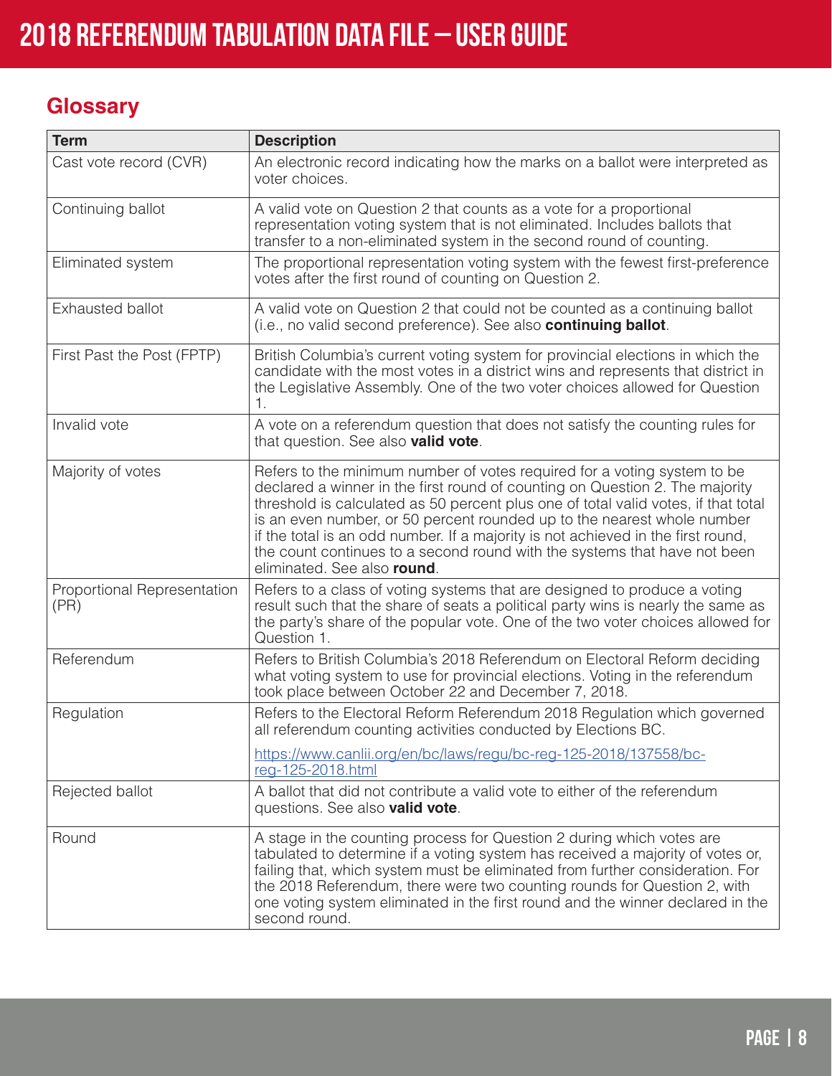## **Glossary**

| <b>Term</b>                         | <b>Description</b>                                                                                                                                                                                                                                                                                                                                                                                                                                                                                                        |  |  |  |  |  |
|-------------------------------------|---------------------------------------------------------------------------------------------------------------------------------------------------------------------------------------------------------------------------------------------------------------------------------------------------------------------------------------------------------------------------------------------------------------------------------------------------------------------------------------------------------------------------|--|--|--|--|--|
| Cast vote record (CVR)              | An electronic record indicating how the marks on a ballot were interpreted as<br>voter choices.                                                                                                                                                                                                                                                                                                                                                                                                                           |  |  |  |  |  |
| Continuing ballot                   | A valid vote on Question 2 that counts as a vote for a proportional<br>representation voting system that is not eliminated. Includes ballots that<br>transfer to a non-eliminated system in the second round of counting.                                                                                                                                                                                                                                                                                                 |  |  |  |  |  |
| Eliminated system                   | The proportional representation voting system with the fewest first-preference<br>votes after the first round of counting on Question 2.                                                                                                                                                                                                                                                                                                                                                                                  |  |  |  |  |  |
| Exhausted ballot                    | A valid vote on Question 2 that could not be counted as a continuing ballot<br>(i.e., no valid second preference). See also continuing ballot.                                                                                                                                                                                                                                                                                                                                                                            |  |  |  |  |  |
| First Past the Post (FPTP)          | British Columbia's current voting system for provincial elections in which the<br>candidate with the most votes in a district wins and represents that district in<br>the Legislative Assembly. One of the two voter choices allowed for Question<br>1.                                                                                                                                                                                                                                                                   |  |  |  |  |  |
| Invalid vote                        | A vote on a referendum question that does not satisfy the counting rules for<br>that question. See also <b>valid vote</b> .                                                                                                                                                                                                                                                                                                                                                                                               |  |  |  |  |  |
| Majority of votes                   | Refers to the minimum number of votes required for a voting system to be<br>declared a winner in the first round of counting on Question 2. The majority<br>threshold is calculated as 50 percent plus one of total valid votes, if that total<br>is an even number, or 50 percent rounded up to the nearest whole number<br>if the total is an odd number. If a majority is not achieved in the first round,<br>the count continues to a second round with the systems that have not been<br>eliminated. See also round. |  |  |  |  |  |
| Proportional Representation<br>(PR) | Refers to a class of voting systems that are designed to produce a voting<br>result such that the share of seats a political party wins is nearly the same as<br>the party's share of the popular vote. One of the two voter choices allowed for<br>Question 1.                                                                                                                                                                                                                                                           |  |  |  |  |  |
| Referendum                          | Refers to British Columbia's 2018 Referendum on Electoral Reform deciding<br>what voting system to use for provincial elections. Voting in the referendum<br>took place between October 22 and December 7, 2018.                                                                                                                                                                                                                                                                                                          |  |  |  |  |  |
| Regulation                          | Refers to the Electoral Reform Referendum 2018 Regulation which governed<br>all referendum counting activities conducted by Elections BC.                                                                                                                                                                                                                                                                                                                                                                                 |  |  |  |  |  |
|                                     | https://www.canlii.org/en/bc/laws/regu/bc-reg-125-2018/137558/bc-<br>reg-125-2018.html                                                                                                                                                                                                                                                                                                                                                                                                                                    |  |  |  |  |  |
| Rejected ballot                     | A ballot that did not contribute a valid vote to either of the referendum<br>questions. See also valid vote.                                                                                                                                                                                                                                                                                                                                                                                                              |  |  |  |  |  |
| Round                               | A stage in the counting process for Question 2 during which votes are<br>tabulated to determine if a voting system has received a majority of votes or,<br>failing that, which system must be eliminated from further consideration. For<br>the 2018 Referendum, there were two counting rounds for Question 2, with<br>one voting system eliminated in the first round and the winner declared in the<br>second round.                                                                                                   |  |  |  |  |  |